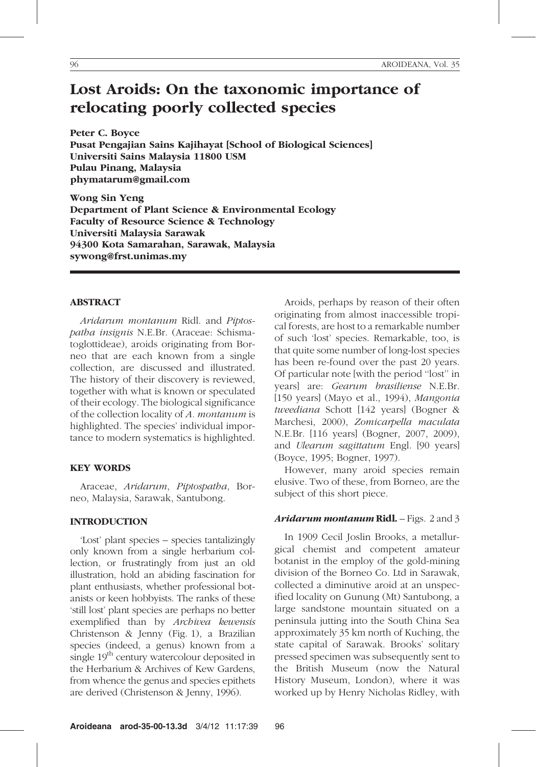# Lost Aroids: On the taxonomic importance of relocating poorly collected species

Peter C. Boyce Pusat Pengajian Sains Kajihayat [School of Biological Sciences] Universiti Sains Malaysia 11800 USM Pulau Pinang, Malaysia phymatarum@gmail.com

Wong Sin Yeng Department of Plant Science & Environmental Ecology Faculty of Resource Science & Technology Universiti Malaysia Sarawak 94300 Kota Samarahan, Sarawak, Malaysia sywong@frst.unimas.my

#### ABSTRACT

Aridarum montanum Ridl. and Piptospatha insignis N.E.Br. (Araceae: Schismatoglottideae), aroids originating from Borneo that are each known from a single collection, are discussed and illustrated. The history of their discovery is reviewed, together with what is known or speculated of their ecology. The biological significance of the collection locality of A. montanum is highlighted. The species' individual importance to modern systematics is highlighted.

### KEY WORDS

Araceae, Aridarum, Piptospatha, Borneo, Malaysia, Sarawak, Santubong.

### INTRODUCTION

'Lost' plant species – species tantalizingly only known from a single herbarium collection, or frustratingly from just an old illustration, hold an abiding fascination for plant enthusiasts, whether professional botanists or keen hobbyists. The ranks of these 'still lost' plant species are perhaps no better exemplified than by Archivea kewensis Christenson & Jenny (Fig. 1), a Brazilian species (indeed, a genus) known from a single 19<sup>th</sup> century watercolour deposited in the Herbarium & Archives of Kew Gardens, from whence the genus and species epithets are derived (Christenson & Jenny, 1996).

Aroids, perhaps by reason of their often originating from almost inaccessible tropical forests, are host to a remarkable number of such 'lost' species. Remarkable, too, is that quite some number of long-lost species has been re-found over the past 20 years. Of particular note [with the period ''lost'' in years] are: Gearum brasiliense N.E.Br. [150 years] (Mayo et al., 1994), Mangonia tweediana Schott [142 years] (Bogner & Marchesi, 2000), Zomicarpella maculata N.E.Br. [116 years] (Bogner, 2007, 2009), and Ulearum sagittatum Engl. [90 years] (Boyce, 1995; Bogner, 1997).

However, many aroid species remain elusive. Two of these, from Borneo, are the subject of this short piece.

### Aridarum montanum Ridl. – Figs. 2 and 3

In 1909 Cecil Joslin Brooks, a metallurgical chemist and competent amateur botanist in the employ of the gold-mining division of the Borneo Co. Ltd in Sarawak, collected a diminutive aroid at an unspecified locality on Gunung (Mt) Santubong, a large sandstone mountain situated on a peninsula jutting into the South China Sea approximately 35 km north of Kuching, the state capital of Sarawak. Brooks' solitary pressed specimen was subsequently sent to the British Museum (now the Natural History Museum, London), where it was worked up by Henry Nicholas Ridley, with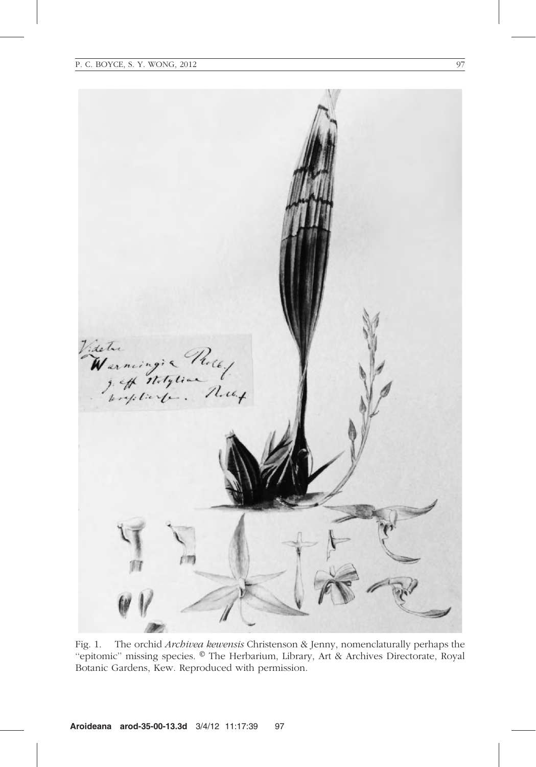

Fig. 1. The orchid Archivea kewensis Christenson & Jenny, nomenclaturally perhaps the "epitomic" missing species. © The Herbarium, Library, Art & Archives Directorate, Royal Botanic Gardens, Kew. Reproduced with permission.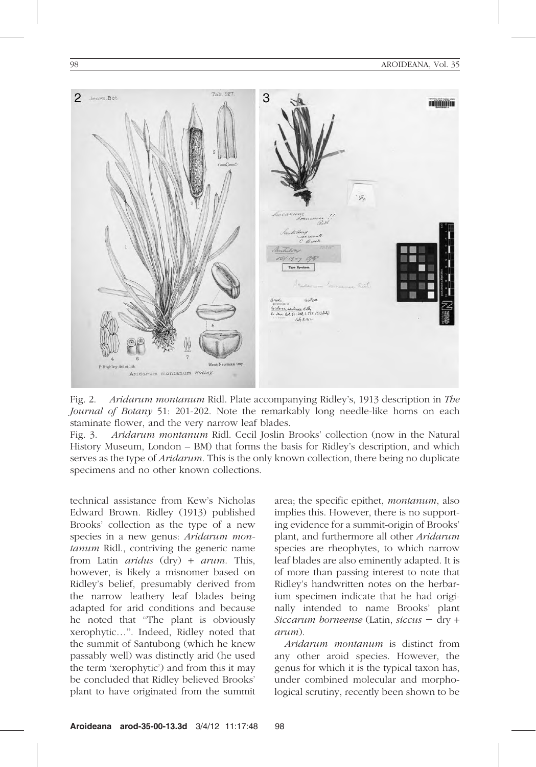

Fig. 2. Aridarum montanum Ridl. Plate accompanying Ridley's, 1913 description in The Journal of Botany 51: 201-202. Note the remarkably long needle-like horns on each staminate flower, and the very narrow leaf blades.

Fig. 3. Aridarum montanum Ridl. Cecil Joslin Brooks' collection (now in the Natural History Museum, London – BM) that forms the basis for Ridley's description, and which serves as the type of *Aridarum*. This is the only known collection, there being no duplicate specimens and no other known collections.

technical assistance from Kew's Nicholas Edward Brown. Ridley (1913) published Brooks' collection as the type of a new species in a new genus: Aridarum montanum Ridl., contriving the generic name from Latin *aridus*  $(dry) + arum$ . This, however, is likely a misnomer based on Ridley's belief, presumably derived from the narrow leathery leaf blades being adapted for arid conditions and because he noted that ''The plant is obviously xerophytic…''. Indeed, Ridley noted that the summit of Santubong (which he knew passably well) was distinctly arid (he used the term 'xerophytic') and from this it may be concluded that Ridley believed Brooks' plant to have originated from the summit area; the specific epithet, montanum, also implies this. However, there is no supporting evidence for a summit-origin of Brooks' plant, and furthermore all other Aridarum species are rheophytes, to which narrow leaf blades are also eminently adapted. It is of more than passing interest to note that Ridley's handwritten notes on the herbarium specimen indicate that he had originally intended to name Brooks' plant Siccarum borneense (Latin, siccus  $-$  dry  $+$ arum).

Aridarum montanum is distinct from any other aroid species. However, the genus for which it is the typical taxon has, under combined molecular and morphological scrutiny, recently been shown to be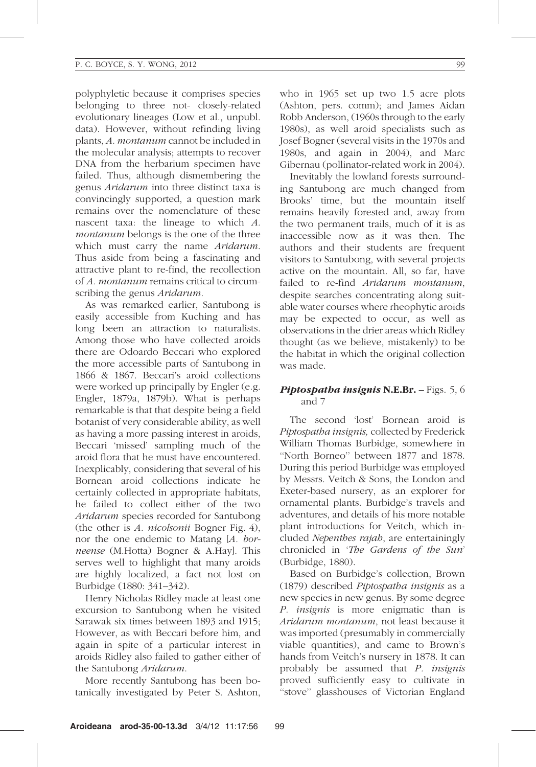polyphyletic because it comprises species belonging to three not- closely-related evolutionary lineages (Low et al., unpubl. data). However, without refinding living plants, A. montanum cannot be included in the molecular analysis; attempts to recover DNA from the herbarium specimen have failed. Thus, although dismembering the genus Aridarum into three distinct taxa is convincingly supported, a question mark remains over the nomenclature of these nascent taxa: the lineage to which A. montanum belongs is the one of the three which must carry the name Aridarum. Thus aside from being a fascinating and attractive plant to re-find, the recollection of A. montanum remains critical to circumscribing the genus *Aridarum*.

As was remarked earlier, Santubong is easily accessible from Kuching and has long been an attraction to naturalists. Among those who have collected aroids there are Odoardo Beccari who explored the more accessible parts of Santubong in 1866 & 1867. Beccari's aroid collections were worked up principally by Engler (e.g. Engler, 1879a, 1879b). What is perhaps remarkable is that that despite being a field botanist of very considerable ability, as well as having a more passing interest in aroids, Beccari 'missed' sampling much of the aroid flora that he must have encountered. Inexplicably, considering that several of his Bornean aroid collections indicate he certainly collected in appropriate habitats, he failed to collect either of the two Aridarum species recorded for Santubong (the other is  $A$ . *nicolsonii* Bogner Fig. 4), nor the one endemic to Matang [A. borneense (M.Hotta) Bogner & A.Hay]. This serves well to highlight that many aroids are highly localized, a fact not lost on Burbidge (1880: 341–342).

Henry Nicholas Ridley made at least one excursion to Santubong when he visited Sarawak six times between 1893 and 1915; However, as with Beccari before him, and again in spite of a particular interest in aroids Ridley also failed to gather either of the Santubong Aridarum.

More recently Santubong has been botanically investigated by Peter S. Ashton,

who in 1965 set up two 1.5 acre plots (Ashton, pers. comm); and James Aidan Robb Anderson, (1960s through to the early 1980s), as well aroid specialists such as Josef Bogner (several visits in the 1970s and 1980s, and again in 2004), and Marc Gibernau (pollinator-related work in 2004).

Inevitably the lowland forests surrounding Santubong are much changed from Brooks' time, but the mountain itself remains heavily forested and, away from the two permanent trails, much of it is as inaccessible now as it was then. The authors and their students are frequent visitors to Santubong, with several projects active on the mountain. All, so far, have failed to re-find *Aridarum montanum*. despite searches concentrating along suitable water courses where rheophytic aroids may be expected to occur, as well as observations in the drier areas which Ridley thought (as we believe, mistakenly) to be the habitat in which the original collection was made.

## Piptospatha insignis N.E.Br. - Figs. 5, 6 and 7

The second 'lost' Bornean aroid is Piptospatha insignis, collected by Frederick William Thomas Burbidge, somewhere in ''North Borneo'' between 1877 and 1878. During this period Burbidge was employed by Messrs. Veitch & Sons, the London and Exeter-based nursery, as an explorer for ornamental plants. Burbidge's travels and adventures, and details of his more notable plant introductions for Veitch, which included Nepenthes rajah, are entertainingly chronicled in 'The Gardens of the Sun' (Burbidge, 1880).

Based on Burbidge's collection, Brown (1879) described Piptospatha insignis as a new species in new genus. By some degree P. insignis is more enigmatic than is Aridarum montanum, not least because it was imported (presumably in commercially viable quantities), and came to Brown's hands from Veitch's nursery in 1878. It can probably be assumed that P. insignis proved sufficiently easy to cultivate in "stove" glasshouses of Victorian England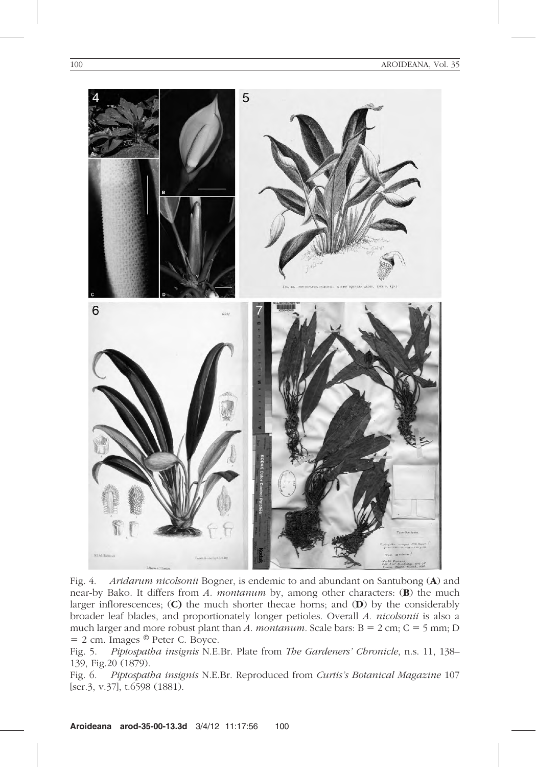

Fig. 4. Aridarum nicolsonii Bogner, is endemic to and abundant on Santubong (A) and near-by Bako. It differs from A. montanum by, among other characters:  $(B)$  the much larger inflorescences; (C) the much shorter thecae horns; and (D) by the considerably broader leaf blades, and proportionately longer petioles. Overall A. nicolsonii is also a much larger and more robust plant than A. montanum. Scale bars:  $B = 2$  cm;  $C = 5$  mm; D  $= 2$  cm. Images  $\circledcirc$  Peter C. Boyce.

Fig. 5. Piptospatha insignis N.E.Br. Plate from The Gardeners' Chronicle, n.s. 11, 138– 139, Fig.20 (1879).

Fig. 6. Piptospatha insignis N.E.Br. Reproduced from Curtis's Botanical Magazine 107 [ser.3, v.37], t.6598 (1881).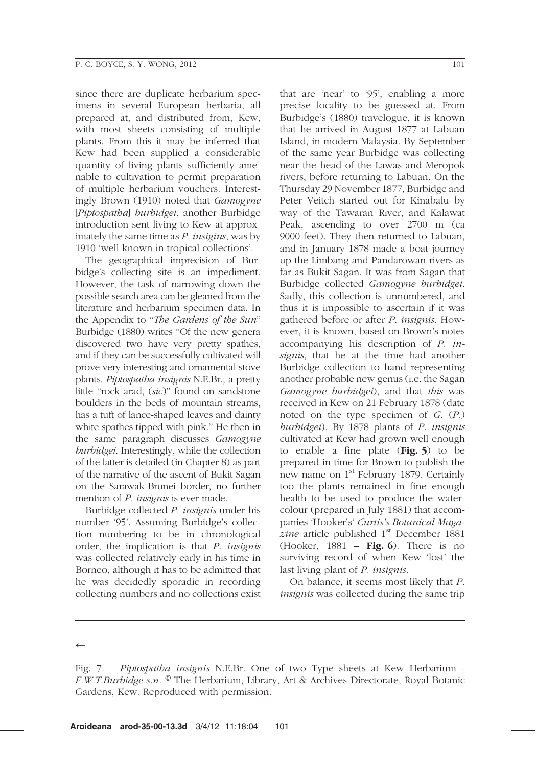since there are duplicate herbarium specimens in several European herbaria, all prepared at, and distributed from, Kew, with most sheets consisting of multiple plants. From this it may be inferred that Kew had been supplied a considerable quantity of living plants sufficiently amenable to cultivation to permit preparation of multiple herbarium vouchers. Interestingly Brown (1910) noted that Gamogyne [Piptospatha] burbidgei, another Burbidge introduction sent living to Kew at approximately the same time as P. insigins, was by 1910 'well known in tropical collections'.

The geographical imprecision of Burbidge's collecting site is an impediment. However, the task of narrowing down the possible search area can be gleaned from the literature and herbarium specimen data. In the Appendix to "The Gardens of the Sun" Burbidge (1880) writes ''Of the new genera discovered two have very pretty spathes, and if they can be successfully cultivated will prove very interesting and ornamental stove plants. Piptospatha insignis N.E.Br., a pretty little ''rock arad, (sic)'' found on sandstone boulders in the beds of mountain streams, has a tuft of lance-shaped leaves and dainty white spathes tipped with pink.'' He then in the same paragraph discusses Gamogyne burbidgei. Interestingly, while the collection of the latter is detailed (in Chapter 8) as part of the narrative of the ascent of Bukit Sagan on the Sarawak-Brunei border, no further mention of *P. insignis* is ever made.

Burbidge collected P. insignis under his number '95'. Assuming Burbidge's collection numbering to be in chronological order, the implication is that P. insignis was collected relatively early in his time in Borneo, although it has to be admitted that he was decidedly sporadic in recording collecting numbers and no collections exist

that are 'near' to '95', enabling a more precise locality to be guessed at. From Burbidge's (1880) travelogue, it is known that he arrived in August 1877 at Labuan Island, in modern Malaysia. By September of the same year Burbidge was collecting near the head of the Lawas and Meropok rivers, before returning to Labuan. On the Thursday 29 November 1877, Burbidge and Peter Veitch started out for Kinabalu by way of the Tawaran River, and Kalawat Peak, ascending to over 2700 m (ca 9000 feet). They then returned to Labuan, and in January 1878 made a boat journey up the Limbang and Pandarowan rivers as far as Bukit Sagan. It was from Sagan that Burbidge collected Gamogyne burbidgei. Sadly, this collection is unnumbered, and thus it is impossible to ascertain if it was gathered before or after P. insignis. However, it is known, based on Brown's notes accompanying his description of P. insignis, that he at the time had another Burbidge collection to hand representing another probable new genus (i.e. the Sagan Gamogyne burbidgei), and that this was received in Kew on 21 February 1878 (date noted on the type specimen of  $G. (P.)$ burbidgei). By 1878 plants of P. insignis cultivated at Kew had grown well enough to enable a fine plate  $(Fig. 5)$  to be prepared in time for Brown to publish the new name on 1<sup>st</sup> February 1879. Certainly too the plants remained in fine enough health to be used to produce the watercolour (prepared in July 1881) that accompanies 'Hooker's' Curtis's Botanical Magazine article published  $1<sup>st</sup>$  December 1881 (Hooker, 1881 – Fig. 6). There is no surviving record of when Kew 'lost' the last living plant of *P. insignis*.

On balance, it seems most likely that P. insignis was collected during the same trip

 $\leftarrow$ 

Fig. 7. Piptospatha insignis N.E.Br. One of two Type sheets at Kew Herbarium - F.W.T.Burbidge s.n. ® The Herbarium, Library, Art & Archives Directorate, Royal Botanic Gardens, Kew. Reproduced with permission.